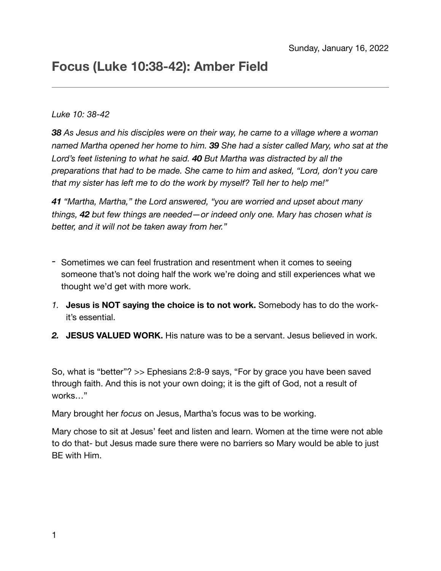# **Focus (Luke 10:38-42): Amber Field**

#### *Luke 10: 38-42*

*38 As Jesus and his disciples were on their way, he came to a village where a woman named Martha opened her home to him. 39 She had a sister called Mary, who sat at the Lord's feet listening to what he said. 40 But Martha was distracted by all the preparations that had to be made. She came to him and asked, "Lord, don't you care that my sister has left me to do the work by myself? Tell her to help me!"*

*41 "Martha, Martha," the Lord answered, "you are worried and upset about many things, 42 but few things are needed—or indeed only one. Mary has chosen what is better, and it will not be taken away from her."*

- *-* Sometimes we can feel frustration and resentment when it comes to seeing someone that's not doing half the work we're doing and still experiences what we thought we'd get with more work.
- *1.* **Jesus is NOT saying the choice is to not work.** Somebody has to do the workit's essential.
- *2.* **JESUS VALUED WORK.** His nature was to be a servant. Jesus believed in work.

So, what is "better"? >> Ephesians 2:8-9 says, "For by grace you have been saved through faith. And this is not your own doing; it is the gift of God, not a result of works…"

Mary brought her *focus* on Jesus, Martha's focus was to be working.

Mary chose to sit at Jesus' feet and listen and learn. Women at the time were not able to do that- but Jesus made sure there were no barriers so Mary would be able to just BE with Him.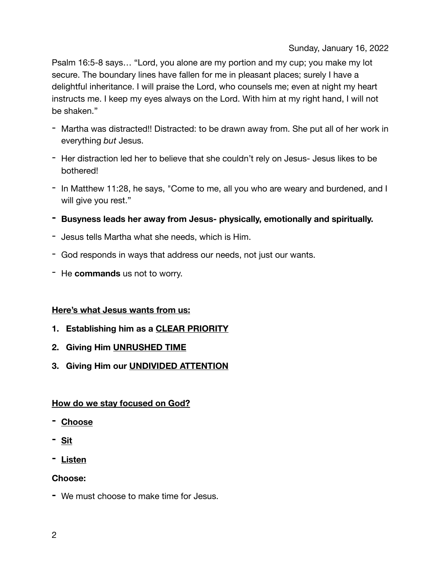Sunday, January 16, 2022

Psalm 16:5-8 says… "Lord, you alone are my portion and my cup; you make my lot secure. The boundary lines have fallen for me in pleasant places; surely I have a delightful inheritance. I will praise the Lord, who counsels me; even at night my heart instructs me. I keep my eyes always on the Lord. With him at my right hand, I will not be shaken."

- Martha was distracted!! Distracted: to be drawn away from. She put all of her work in everything *but* Jesus.
- Her distraction led her to believe that she couldn't rely on Jesus- Jesus likes to be bothered!
- In Matthew 11:28, he says, "Come to me, all you who are weary and burdened, and I will give you rest."
- **- Busyness leads her away from Jesus- physically, emotionally and spiritually.**
- Jesus tells Martha what she needs, which is Him.
- God responds in ways that address our needs, not just our wants.
- He **commands** us not to worry.

#### **Here's what Jesus wants from us:**

- **1. Establishing him as a CLEAR PRIORITY**
- **2. Giving Him UNRUSHED TIME**
- **3. Giving Him our UNDIVIDED ATTENTION**

#### **How do we stay focused on God?**

- **- Choose**
- **- Sit**
- **- Listen**

## **Choose:**

**-** We must choose to make time for Jesus.